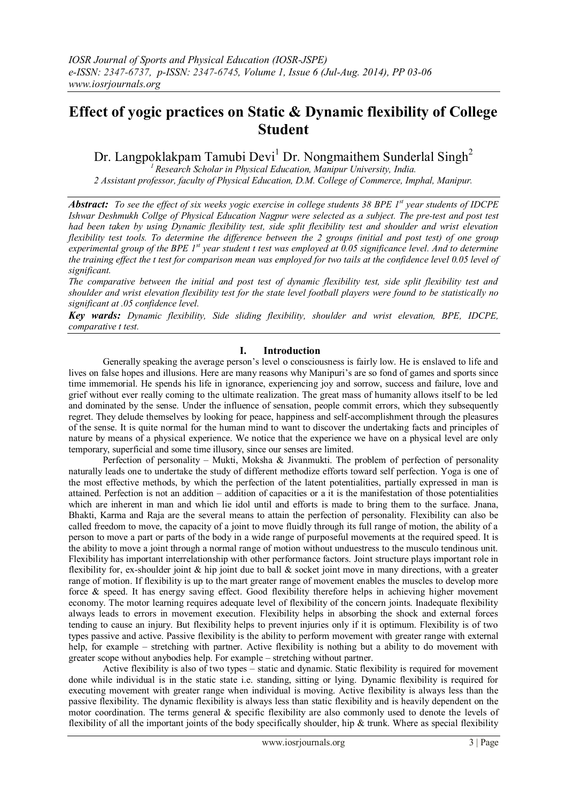# **Effect of yogic practices on Static & Dynamic flexibility of College Student**

Dr. Langpoklakpam Tamubi Devi<sup>1</sup> Dr. Nongmaithem Sunderlal Singh<sup>2</sup>

*<sup>1</sup>Research Scholar in Physical Education, Manipur University, India. 2 Assistant professor, faculty of Physical Education, D.M. College of Commerce, Imphal, Manipur.* 

*Abstract: To see the effect of six weeks yogic exercise in college students 38 BPE 1st year students of IDCPE Ishwar Deshmukh Collge of Physical Education Nagpur were selected as a subject. The pre-test and post test had been taken by using Dynamic flexibility test, side split flexibility test and shoulder and wrist elevation flexibility test tools. To determine the difference between the 2 groups (initial and post test) of one group experimental group of the BPE 1st year student t test was employed at 0.05 significance level. And to determine the training effect the t test for comparison mean was employed for two tails at the confidence level 0.05 level of significant.*

*The comparative between the initial and post test of dynamic flexibility test, side split flexibility test and shoulder and wrist elevation flexibility test for the state level football players were found to be statistically no significant at .05 confidence level.*

*Key wards: Dynamic flexibility, Side sliding flexibility, shoulder and wrist elevation, BPE, IDCPE, comparative t test.*

### **I. Introduction**

Generally speaking the average person"s level o consciousness is fairly low. He is enslaved to life and lives on false hopes and illusions. Here are many reasons why Manipuri's are so fond of games and sports since time immemorial. He spends his life in ignorance, experiencing joy and sorrow, success and failure, love and grief without ever really coming to the ultimate realization. The great mass of humanity allows itself to be led and dominated by the sense. Under the influence of sensation, people commit errors, which they subsequently regret. They delude themselves by looking for peace, happiness and self-accomplishment through the pleasures of the sense. It is quite normal for the human mind to want to discover the undertaking facts and principles of nature by means of a physical experience. We notice that the experience we have on a physical level are only temporary, superficial and some time illusory, since our senses are limited.

Perfection of personality – Mukti, Moksha & Jivanmukti. The problem of perfection of personality naturally leads one to undertake the study of different methodize efforts toward self perfection. Yoga is one of the most effective methods, by which the perfection of the latent potentialities, partially expressed in man is attained. Perfection is not an addition – addition of capacities or a it is the manifestation of those potentialities which are inherent in man and which lie idol until and efforts is made to bring them to the surface. Jnana, Bhakti, Karma and Raja are the several means to attain the perfection of personality. Flexibility can also be called freedom to move, the capacity of a joint to move fluidly through its full range of motion, the ability of a person to move a part or parts of the body in a wide range of purposeful movements at the required speed. It is the ability to move a joint through a normal range of motion without unduestress to the musculo tendinous unit. Flexibility has important interrelationship with other performance factors. Joint structure plays important role in flexibility for, ex-shoulder joint  $\&$  hip joint due to ball  $\&$  socket joint move in many directions, with a greater range of motion. If flexibility is up to the mart greater range of movement enables the muscles to develop more force & speed. It has energy saving effect. Good flexibility therefore helps in achieving higher movement economy. The motor learning requires adequate level of flexibility of the concern joints. Inadequate flexibility always leads to errors in movement execution. Flexibility helps in absorbing the shock and external forces tending to cause an injury. But flexibility helps to prevent injuries only if it is optimum. Flexibility is of two types passive and active. Passive flexibility is the ability to perform movement with greater range with external help, for example – stretching with partner. Active flexibility is nothing but a ability to do movement with greater scope without anybodies help. For example – stretching without partner.

Active flexibility is also of two types – static and dynamic. Static flexibility is required for movement done while individual is in the static state i.e. standing, sitting or lying. Dynamic flexibility is required for executing movement with greater range when individual is moving. Active flexibility is always less than the passive flexibility. The dynamic flexibility is always less than static flexibility and is heavily dependent on the motor coordination. The terms general & specific flexibility are also commonly used to denote the levels of flexibility of all the important joints of the body specifically shoulder, hip & trunk. Where as special flexibility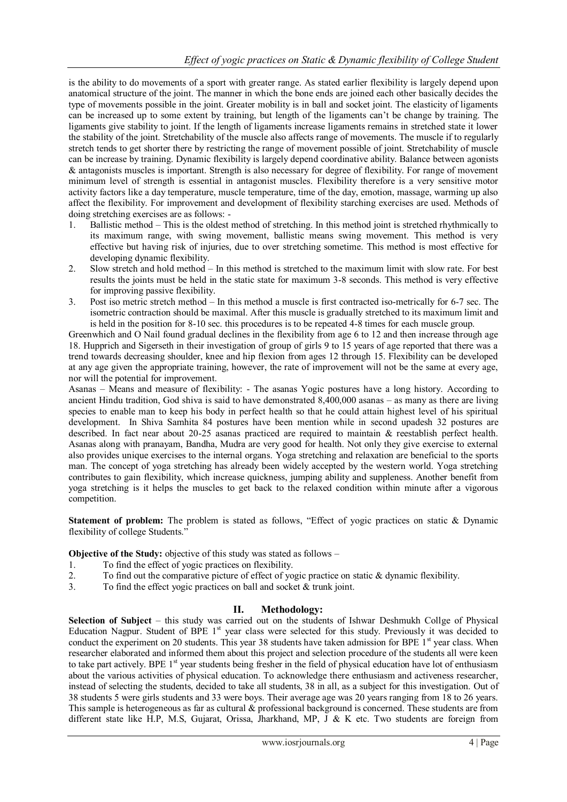is the ability to do movements of a sport with greater range. As stated earlier flexibility is largely depend upon anatomical structure of the joint. The manner in which the bone ends are joined each other basically decides the type of movements possible in the joint. Greater mobility is in ball and socket joint. The elasticity of ligaments can be increased up to some extent by training, but length of the ligaments can"t be change by training. The ligaments give stability to joint. If the length of ligaments increase ligaments remains in stretched state it lower the stability of the joint. Stretchability of the muscle also affects range of movements. The muscle if to regularly stretch tends to get shorter there by restricting the range of movement possible of joint. Stretchability of muscle can be increase by training. Dynamic flexibility is largely depend coordinative ability. Balance between agonists & antagonists muscles is important. Strength is also necessary for degree of flexibility. For range of movement minimum level of strength is essential in antagonist muscles. Flexibility therefore is a very sensitive motor activity factors like a day temperature, muscle temperature, time of the day, emotion, massage, warming up also affect the flexibility. For improvement and development of flexibility starching exercises are used. Methods of doing stretching exercises are as follows: -

- 1. Ballistic method This is the oldest method of stretching. In this method joint is stretched rhythmically to its maximum range, with swing movement, ballistic means swing movement. This method is very effective but having risk of injuries, due to over stretching sometime. This method is most effective for developing dynamic flexibility.
- 2. Slow stretch and hold method In this method is stretched to the maximum limit with slow rate. For best results the joints must be held in the static state for maximum 3-8 seconds. This method is very effective for improving passive flexibility.
- 3. Post iso metric stretch method In this method a muscle is first contracted iso-metrically for 6-7 sec. The isometric contraction should be maximal. After this muscle is gradually stretched to its maximum limit and is held in the position for 8-10 sec. this procedures is to be repeated 4-8 times for each muscle group.

Greenwhich and O Nail found gradual declines in the flexibility from age 6 to 12 and then increase through age 18. Hupprich and Sigerseth in their investigation of group of girls 9 to 15 years of age reported that there was a trend towards decreasing shoulder, knee and hip flexion from ages 12 through 15. Flexibility can be developed at any age given the appropriate training, however, the rate of improvement will not be the same at every age, nor will the potential for improvement.

Asanas – Means and measure of flexibility: - The asanas Yogic postures have a long history. According to ancient Hindu tradition, God shiva is said to have demonstrated 8,400,000 asanas – as many as there are living species to enable man to keep his body in perfect health so that he could attain highest level of his spiritual development. In Shiva Samhita 84 postures have been mention while in second upadesh 32 postures are described. In fact near about 20-25 asanas practiced are required to maintain & reestablish perfect health. Asanas along with pranayam, Bandha, Mudra are very good for health. Not only they give exercise to external also provides unique exercises to the internal organs. Yoga stretching and relaxation are beneficial to the sports man. The concept of yoga stretching has already been widely accepted by the western world. Yoga stretching contributes to gain flexibility, which increase quickness, jumping ability and suppleness. Another benefit from yoga stretching is it helps the muscles to get back to the relaxed condition within minute after a vigorous competition.

**Statement of problem:** The problem is stated as follows, "Effect of yogic practices on static & Dynamic flexibility of college Students."

**Objective of the Study:** objective of this study was stated as follows –

- 1. To find the effect of yogic practices on flexibility.
- 2. To find out the comparative picture of effect of yogic practice on static & dynamic flexibility.
- 3. To find the effect yogic practices on ball and socket & trunk joint.

## **II. Methodology:**

**Selection of Subject** – this study was carried out on the students of Ishwar Deshmukh Collge of Physical Education Nagpur. Student of BPE 1<sup>st</sup> year class were selected for this study. Previously it was decided to conduct the experiment on 20 students. This year 38 students have taken admission for BPE 1<sup>st</sup> year class. When researcher elaborated and informed them about this project and selection procedure of the students all were keen to take part actively. BPE 1<sup>st</sup> year students being fresher in the field of physical education have lot of enthusiasm about the various activities of physical education. To acknowledge there enthusiasm and activeness researcher, instead of selecting the students, decided to take all students, 38 in all, as a subject for this investigation. Out of 38 students 5 were girls students and 33 were boys. Their average age was 20 years ranging from 18 to 26 years. This sample is heterogeneous as far as cultural & professional background is concerned. These students are from different state like H.P, M.S, Gujarat, Orissa, Jharkhand, MP, J & K etc. Two students are foreign from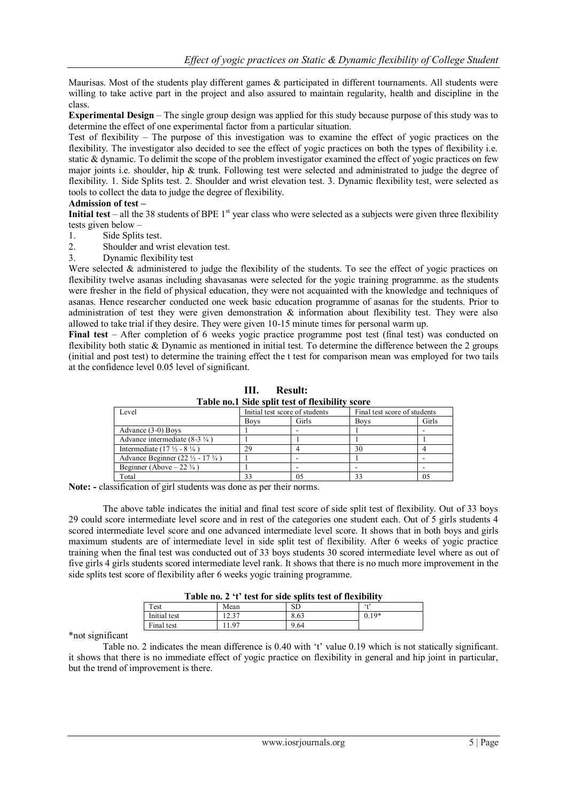Maurisas. Most of the students play different games & participated in different tournaments. All students were willing to take active part in the project and also assured to maintain regularity, health and discipline in the class.

**Experimental Design** – The single group design was applied for this study because purpose of this study was to determine the effect of one experimental factor from a particular situation.

Test of flexibility – The purpose of this investigation was to examine the effect of yogic practices on the flexibility. The investigator also decided to see the effect of yogic practices on both the types of flexibility i.e. static & dynamic. To delimit the scope of the problem investigator examined the effect of yogic practices on few major joints i.e. shoulder, hip & trunk. Following test were selected and administrated to judge the degree of flexibility. 1. Side Splits test. 2. Shoulder and wrist elevation test. 3. Dynamic flexibility test, were selected as tools to collect the data to judge the degree of flexibility.

#### **Admission of test –**

**Initial test** – all the 38 students of BPE  $1<sup>st</sup>$  year class who were selected as a subjects were given three flexibility tests given below –

- 1. Side Splits test.
- 2. Shoulder and wrist elevation test.
- 3. Dynamic flexibility test

Were selected  $\&$  administered to judge the flexibility of the students. To see the effect of yogic practices on flexibility twelve asanas including shavasanas were selected for the yogic training programme. as the students were fresher in the field of physical education, they were not acquainted with the knowledge and techniques of asanas. Hence researcher conducted one week basic education programme of asanas for the students. Prior to administration of test they were given demonstration & information about flexibility test. They were also allowed to take trial if they desire. They were given 10-15 minute times for personal warm up.

**Final test** – After completion of 6 weeks yogic practice programme post test (final test) was conducted on flexibility both static & Dynamic as mentioned in initial test. To determine the difference between the 2 groups (initial and post test) to determine the training effect the t test for comparison mean was employed for two tails at the confidence level 0.05 level of significant.

**III. Result: Table no.1 Side split test of flexibility score**

| <i>c</i> vel                                            | Initial test score of students |       |             | Final test score of students |  |
|---------------------------------------------------------|--------------------------------|-------|-------------|------------------------------|--|
|                                                         | <b>Boys</b>                    | Girls | <b>Boys</b> | Girls                        |  |
| Advance (3-0) Boys                                      |                                |       |             |                              |  |
| Advance intermediate $(8-3 \frac{1}{4})$                |                                |       |             |                              |  |
| Intermediate $(17 \frac{1}{2} - 8 \frac{1}{4})$         | 29                             |       | 30          |                              |  |
| Advance Beginner (22 $\frac{1}{2}$ - 17 $\frac{3}{4}$ ) |                                |       |             |                              |  |
| Beginner (Above $-22\frac{3}{4}$ )                      |                                |       |             |                              |  |
| Total                                                   | 33                             |       | 33          | 05                           |  |

**Note: -** classification of girl students was done as per their norms.

The above table indicates the initial and final test score of side split test of flexibility. Out of 33 boys 29 could score intermediate level score and in rest of the categories one student each. Out of 5 girls students 4 scored intermediate level score and one advanced intermediate level score. It shows that in both boys and girls maximum students are of intermediate level in side split test of flexibility. After 6 weeks of yogic practice training when the final test was conducted out of 33 boys students 30 scored intermediate level where as out of five girls 4 girls students scored intermediate level rank. It shows that there is no much more improvement in the side splits test score of flexibility after 6 weeks yogic training programme.

| Table no. 2 't' test for side splits test of flexibility |  |  |  |  |  |  |
|----------------------------------------------------------|--|--|--|--|--|--|
|                                                          |  |  |  |  |  |  |

| $\mathbf{1}_{\mathbf{u}}$ and $\mathbf{1}_{\mathbf{v}}$ and $\mathbf{1}_{\mathbf{v}}$ are space of $\mathbf{1}_{\mathbf{v}}$ and $\mathbf{1}_{\mathbf{v}}$ |                |      |         |  |
|------------------------------------------------------------------------------------------------------------------------------------------------------------|----------------|------|---------|--|
| Test                                                                                                                                                       | Mean           | SD   | 6.17    |  |
| Initial test                                                                                                                                               | 227<br>بر د… ∟ | 8.63 | $0.19*$ |  |
| Final test                                                                                                                                                 | 1.07           | 9.64 |         |  |
|                                                                                                                                                            |                |      |         |  |

\*not significant

Table no. 2 indicates the mean difference is 0.40 with 't' value 0.19 which is not statically significant. it shows that there is no immediate effect of yogic practice on flexibility in general and hip joint in particular, but the trend of improvement is there.